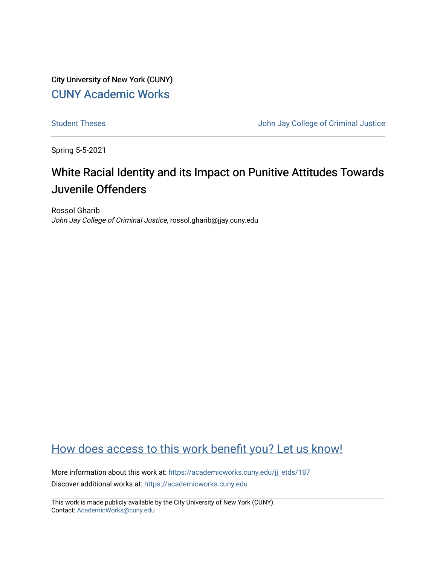City University of New York (CUNY) [CUNY Academic Works](https://academicworks.cuny.edu/) 

[Student Theses](https://academicworks.cuny.edu/jj_etds) **Student Theses** John Jay College of Criminal Justice

Spring 5-5-2021

# White Racial Identity and its Impact on Punitive Attitudes Towards Juvenile Offenders

Rossol Gharib John Jay College of Criminal Justice, rossol.gharib@jjay.cuny.edu

# [How does access to this work benefit you? Let us know!](http://ols.cuny.edu/academicworks/?ref=https://academicworks.cuny.edu/jj_etds/187)

More information about this work at: https://academicworks.cuny.edu/jj\_etds/187 Discover additional works at: [https://academicworks.cuny.edu](https://academicworks.cuny.edu/?)

This work is made publicly available by the City University of New York (CUNY). Contact: [AcademicWorks@cuny.edu](mailto:AcademicWorks@cuny.edu)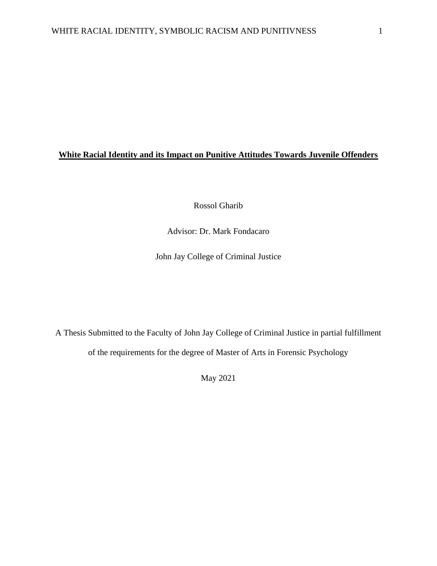# **White Racial Identity and its Impact on Punitive Attitudes Towards Juvenile Offenders**

Rossol Gharib

Advisor: Dr. Mark Fondacaro

John Jay College of Criminal Justice

A Thesis Submitted to the Faculty of John Jay College of Criminal Justice in partial fulfillment of the requirements for the degree of Master of Arts in Forensic Psychology

May 2021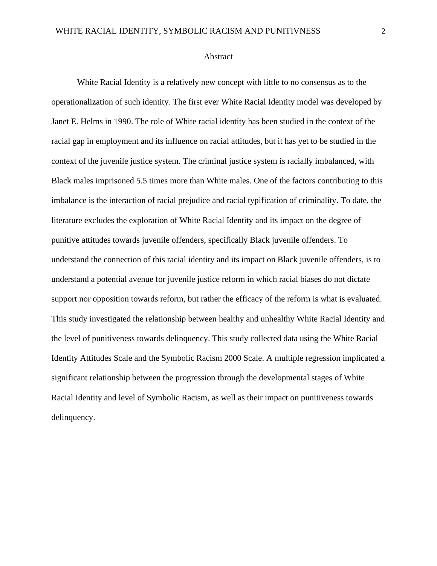#### Abstract

White Racial Identity is a relatively new concept with little to no consensus as to the operationalization of such identity. The first ever White Racial Identity model was developed by Janet E. Helms in 1990. The role of White racial identity has been studied in the context of the racial gap in employment and its influence on racial attitudes, but it has yet to be studied in the context of the juvenile justice system. The criminal justice system is racially imbalanced, with Black males imprisoned 5.5 times more than White males. One of the factors contributing to this imbalance is the interaction of racial prejudice and racial typification of criminality. To date, the literature excludes the exploration of White Racial Identity and its impact on the degree of punitive attitudes towards juvenile offenders, specifically Black juvenile offenders. To understand the connection of this racial identity and its impact on Black juvenile offenders, is to understand a potential avenue for juvenile justice reform in which racial biases do not dictate support nor opposition towards reform, but rather the efficacy of the reform is what is evaluated. This study investigated the relationship between healthy and unhealthy White Racial Identity and the level of punitiveness towards delinquency. This study collected data using the White Racial Identity Attitudes Scale and the Symbolic Racism 2000 Scale. A multiple regression implicated a significant relationship between the progression through the developmental stages of White Racial Identity and level of Symbolic Racism, as well as their impact on punitiveness towards delinquency.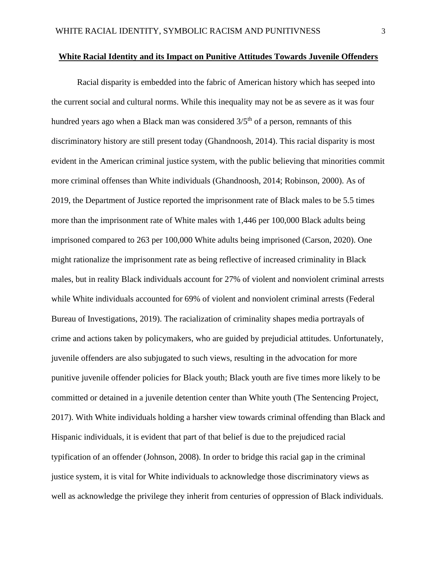#### **White Racial Identity and its Impact on Punitive Attitudes Towards Juvenile Offenders**

Racial disparity is embedded into the fabric of American history which has seeped into the current social and cultural norms. While this inequality may not be as severe as it was four hundred years ago when a Black man was considered  $3/5<sup>th</sup>$  of a person, remnants of this discriminatory history are still present today (Ghandnoosh, 2014). This racial disparity is most evident in the American criminal justice system, with the public believing that minorities commit more criminal offenses than White individuals (Ghandnoosh, 2014; Robinson, 2000). As of 2019, the Department of Justice reported the imprisonment rate of Black males to be 5.5 times more than the imprisonment rate of White males with 1,446 per 100,000 Black adults being imprisoned compared to 263 per 100,000 White adults being imprisoned (Carson, 2020). One might rationalize the imprisonment rate as being reflective of increased criminality in Black males, but in reality Black individuals account for 27% of violent and nonviolent criminal arrests while White individuals accounted for 69% of violent and nonviolent criminal arrests (Federal Bureau of Investigations, 2019). The racialization of criminality shapes media portrayals of crime and actions taken by policymakers, who are guided by prejudicial attitudes. Unfortunately, juvenile offenders are also subjugated to such views, resulting in the advocation for more punitive juvenile offender policies for Black youth; Black youth are five times more likely to be committed or detained in a juvenile detention center than White youth (The Sentencing Project, 2017). With White individuals holding a harsher view towards criminal offending than Black and Hispanic individuals, it is evident that part of that belief is due to the prejudiced racial typification of an offender (Johnson, 2008). In order to bridge this racial gap in the criminal justice system, it is vital for White individuals to acknowledge those discriminatory views as well as acknowledge the privilege they inherit from centuries of oppression of Black individuals.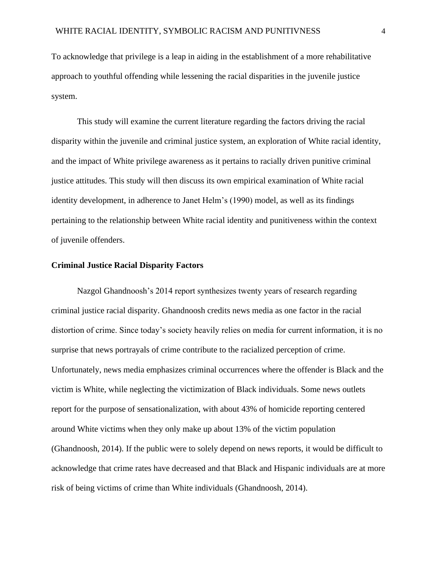To acknowledge that privilege is a leap in aiding in the establishment of a more rehabilitative approach to youthful offending while lessening the racial disparities in the juvenile justice system.

This study will examine the current literature regarding the factors driving the racial disparity within the juvenile and criminal justice system, an exploration of White racial identity, and the impact of White privilege awareness as it pertains to racially driven punitive criminal justice attitudes. This study will then discuss its own empirical examination of White racial identity development, in adherence to Janet Helm's (1990) model, as well as its findings pertaining to the relationship between White racial identity and punitiveness within the context of juvenile offenders.

## **Criminal Justice Racial Disparity Factors**

Nazgol Ghandnoosh's 2014 report synthesizes twenty years of research regarding criminal justice racial disparity. Ghandnoosh credits news media as one factor in the racial distortion of crime. Since today's society heavily relies on media for current information, it is no surprise that news portrayals of crime contribute to the racialized perception of crime. Unfortunately, news media emphasizes criminal occurrences where the offender is Black and the victim is White, while neglecting the victimization of Black individuals. Some news outlets report for the purpose of sensationalization, with about 43% of homicide reporting centered around White victims when they only make up about 13% of the victim population (Ghandnoosh, 2014). If the public were to solely depend on news reports, it would be difficult to acknowledge that crime rates have decreased and that Black and Hispanic individuals are at more risk of being victims of crime than White individuals (Ghandnoosh, 2014).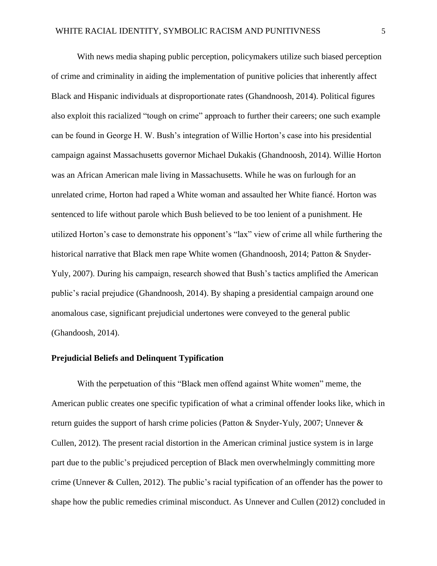With news media shaping public perception, policymakers utilize such biased perception of crime and criminality in aiding the implementation of punitive policies that inherently affect Black and Hispanic individuals at disproportionate rates (Ghandnoosh, 2014). Political figures also exploit this racialized "tough on crime" approach to further their careers; one such example can be found in George H. W. Bush's integration of Willie Horton's case into his presidential campaign against Massachusetts governor Michael Dukakis (Ghandnoosh, 2014). Willie Horton was an African American male living in Massachusetts. While he was on furlough for an unrelated crime, Horton had raped a White woman and assaulted her White fiancé. Horton was sentenced to life without parole which Bush believed to be too lenient of a punishment. He utilized Horton's case to demonstrate his opponent's "lax" view of crime all while furthering the historical narrative that Black men rape White women (Ghandnoosh, 2014; Patton & Snyder-Yuly, 2007). During his campaign, research showed that Bush's tactics amplified the American public's racial prejudice (Ghandnoosh, 2014). By shaping a presidential campaign around one anomalous case, significant prejudicial undertones were conveyed to the general public (Ghandoosh, 2014).

## **Prejudicial Beliefs and Delinquent Typification**

With the perpetuation of this "Black men offend against White women" meme, the American public creates one specific typification of what a criminal offender looks like, which in return guides the support of harsh crime policies (Patton & Snyder-Yuly, 2007; Unnever & Cullen, 2012). The present racial distortion in the American criminal justice system is in large part due to the public's prejudiced perception of Black men overwhelmingly committing more crime (Unnever & Cullen, 2012). The public's racial typification of an offender has the power to shape how the public remedies criminal misconduct. As Unnever and Cullen (2012) concluded in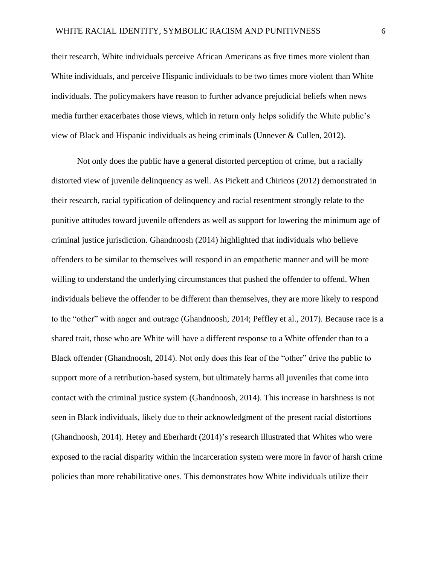their research, White individuals perceive African Americans as five times more violent than White individuals, and perceive Hispanic individuals to be two times more violent than White individuals. The policymakers have reason to further advance prejudicial beliefs when news media further exacerbates those views, which in return only helps solidify the White public's view of Black and Hispanic individuals as being criminals (Unnever & Cullen, 2012).

Not only does the public have a general distorted perception of crime, but a racially distorted view of juvenile delinquency as well. As Pickett and Chiricos (2012) demonstrated in their research, racial typification of delinquency and racial resentment strongly relate to the punitive attitudes toward juvenile offenders as well as support for lowering the minimum age of criminal justice jurisdiction. Ghandnoosh (2014) highlighted that individuals who believe offenders to be similar to themselves will respond in an empathetic manner and will be more willing to understand the underlying circumstances that pushed the offender to offend. When individuals believe the offender to be different than themselves, they are more likely to respond to the "other" with anger and outrage (Ghandnoosh, 2014; Peffley et al., 2017). Because race is a shared trait, those who are White will have a different response to a White offender than to a Black offender (Ghandnoosh, 2014). Not only does this fear of the "other" drive the public to support more of a retribution-based system, but ultimately harms all juveniles that come into contact with the criminal justice system (Ghandnoosh, 2014). This increase in harshness is not seen in Black individuals, likely due to their acknowledgment of the present racial distortions (Ghandnoosh, 2014). Hetey and Eberhardt (2014)'s research illustrated that Whites who were exposed to the racial disparity within the incarceration system were more in favor of harsh crime policies than more rehabilitative ones. This demonstrates how White individuals utilize their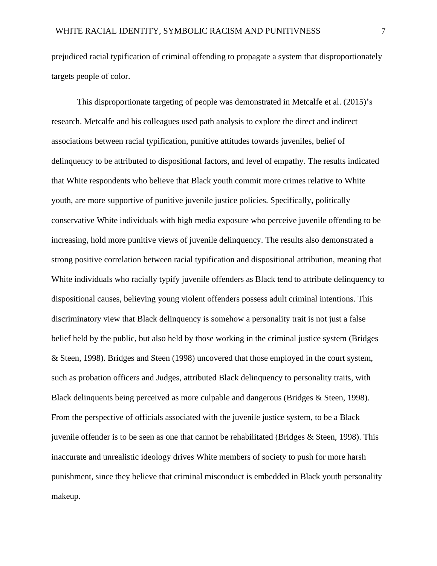prejudiced racial typification of criminal offending to propagate a system that disproportionately targets people of color.

This disproportionate targeting of people was demonstrated in Metcalfe et al. (2015)'s research. Metcalfe and his colleagues used path analysis to explore the direct and indirect associations between racial typification, punitive attitudes towards juveniles, belief of delinquency to be attributed to dispositional factors, and level of empathy. The results indicated that White respondents who believe that Black youth commit more crimes relative to White youth, are more supportive of punitive juvenile justice policies. Specifically, politically conservative White individuals with high media exposure who perceive juvenile offending to be increasing, hold more punitive views of juvenile delinquency. The results also demonstrated a strong positive correlation between racial typification and dispositional attribution, meaning that White individuals who racially typify juvenile offenders as Black tend to attribute delinquency to dispositional causes, believing young violent offenders possess adult criminal intentions. This discriminatory view that Black delinquency is somehow a personality trait is not just a false belief held by the public, but also held by those working in the criminal justice system (Bridges & Steen, 1998). Bridges and Steen (1998) uncovered that those employed in the court system, such as probation officers and Judges, attributed Black delinquency to personality traits, with Black delinquents being perceived as more culpable and dangerous (Bridges & Steen, 1998). From the perspective of officials associated with the juvenile justice system, to be a Black juvenile offender is to be seen as one that cannot be rehabilitated (Bridges & Steen, 1998). This inaccurate and unrealistic ideology drives White members of society to push for more harsh punishment, since they believe that criminal misconduct is embedded in Black youth personality makeup.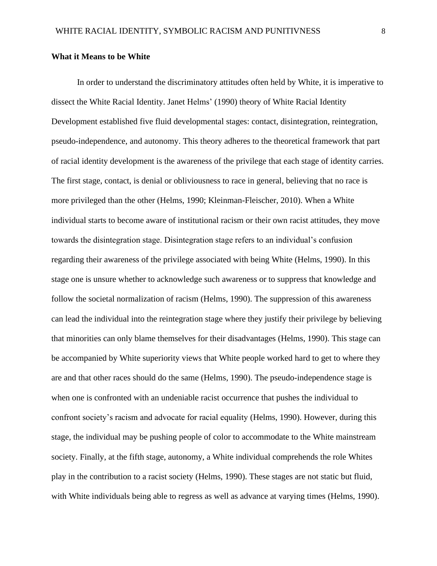#### **What it Means to be White**

In order to understand the discriminatory attitudes often held by White, it is imperative to dissect the White Racial Identity. Janet Helms' (1990) theory of White Racial Identity Development established five fluid developmental stages: contact, disintegration, reintegration, pseudo-independence, and autonomy. This theory adheres to the theoretical framework that part of racial identity development is the awareness of the privilege that each stage of identity carries. The first stage, contact, is denial or obliviousness to race in general, believing that no race is more privileged than the other (Helms, 1990; Kleinman-Fleischer, 2010). When a White individual starts to become aware of institutional racism or their own racist attitudes, they move towards the disintegration stage. Disintegration stage refers to an individual's confusion regarding their awareness of the privilege associated with being White (Helms, 1990). In this stage one is unsure whether to acknowledge such awareness or to suppress that knowledge and follow the societal normalization of racism (Helms, 1990). The suppression of this awareness can lead the individual into the reintegration stage where they justify their privilege by believing that minorities can only blame themselves for their disadvantages (Helms, 1990). This stage can be accompanied by White superiority views that White people worked hard to get to where they are and that other races should do the same (Helms, 1990). The pseudo-independence stage is when one is confronted with an undeniable racist occurrence that pushes the individual to confront society's racism and advocate for racial equality (Helms, 1990). However, during this stage, the individual may be pushing people of color to accommodate to the White mainstream society. Finally, at the fifth stage, autonomy, a White individual comprehends the role Whites play in the contribution to a racist society (Helms, 1990). These stages are not static but fluid, with White individuals being able to regress as well as advance at varying times (Helms, 1990).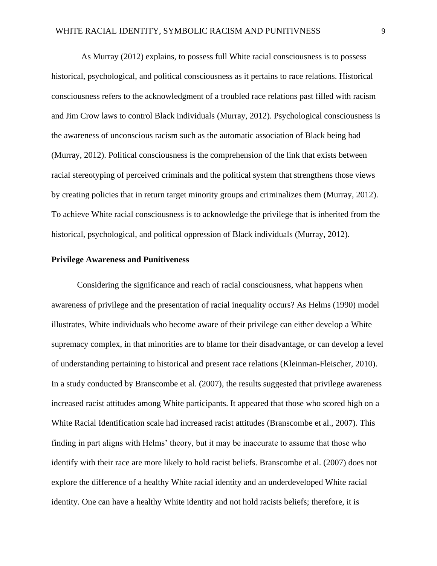As Murray (2012) explains, to possess full White racial consciousness is to possess historical, psychological, and political consciousness as it pertains to race relations. Historical consciousness refers to the acknowledgment of a troubled race relations past filled with racism and Jim Crow laws to control Black individuals (Murray, 2012). Psychological consciousness is the awareness of unconscious racism such as the automatic association of Black being bad (Murray, 2012). Political consciousness is the comprehension of the link that exists between racial stereotyping of perceived criminals and the political system that strengthens those views by creating policies that in return target minority groups and criminalizes them (Murray, 2012). To achieve White racial consciousness is to acknowledge the privilege that is inherited from the historical, psychological, and political oppression of Black individuals (Murray, 2012).

## **Privilege Awareness and Punitiveness**

Considering the significance and reach of racial consciousness, what happens when awareness of privilege and the presentation of racial inequality occurs? As Helms (1990) model illustrates, White individuals who become aware of their privilege can either develop a White supremacy complex, in that minorities are to blame for their disadvantage, or can develop a level of understanding pertaining to historical and present race relations (Kleinman-Fleischer, 2010). In a study conducted by Branscombe et al. (2007), the results suggested that privilege awareness increased racist attitudes among White participants. It appeared that those who scored high on a White Racial Identification scale had increased racist attitudes (Branscombe et al., 2007). This finding in part aligns with Helms' theory, but it may be inaccurate to assume that those who identify with their race are more likely to hold racist beliefs. Branscombe et al. (2007) does not explore the difference of a healthy White racial identity and an underdeveloped White racial identity. One can have a healthy White identity and not hold racists beliefs; therefore, it is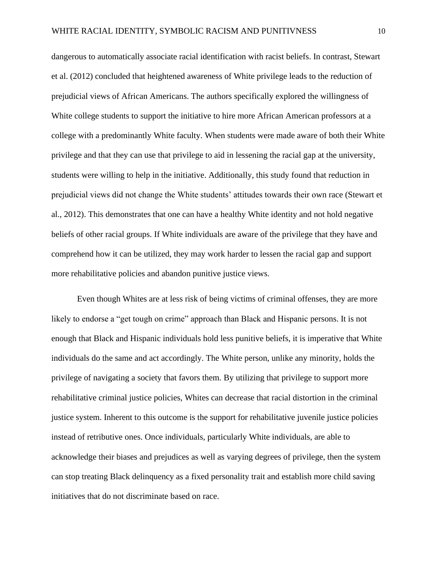dangerous to automatically associate racial identification with racist beliefs. In contrast, Stewart et al. (2012) concluded that heightened awareness of White privilege leads to the reduction of prejudicial views of African Americans. The authors specifically explored the willingness of White college students to support the initiative to hire more African American professors at a college with a predominantly White faculty. When students were made aware of both their White privilege and that they can use that privilege to aid in lessening the racial gap at the university, students were willing to help in the initiative. Additionally, this study found that reduction in prejudicial views did not change the White students' attitudes towards their own race (Stewart et al., 2012). This demonstrates that one can have a healthy White identity and not hold negative beliefs of other racial groups. If White individuals are aware of the privilege that they have and comprehend how it can be utilized, they may work harder to lessen the racial gap and support more rehabilitative policies and abandon punitive justice views.

Even though Whites are at less risk of being victims of criminal offenses, they are more likely to endorse a "get tough on crime" approach than Black and Hispanic persons. It is not enough that Black and Hispanic individuals hold less punitive beliefs, it is imperative that White individuals do the same and act accordingly. The White person, unlike any minority, holds the privilege of navigating a society that favors them. By utilizing that privilege to support more rehabilitative criminal justice policies, Whites can decrease that racial distortion in the criminal justice system. Inherent to this outcome is the support for rehabilitative juvenile justice policies instead of retributive ones. Once individuals, particularly White individuals, are able to acknowledge their biases and prejudices as well as varying degrees of privilege, then the system can stop treating Black delinquency as a fixed personality trait and establish more child saving initiatives that do not discriminate based on race.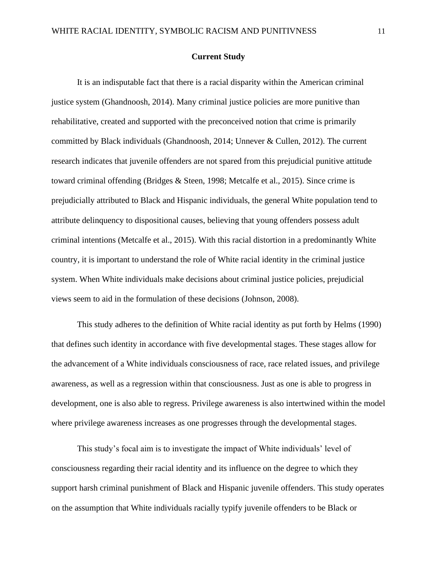#### **Current Study**

It is an indisputable fact that there is a racial disparity within the American criminal justice system (Ghandnoosh, 2014). Many criminal justice policies are more punitive than rehabilitative, created and supported with the preconceived notion that crime is primarily committed by Black individuals (Ghandnoosh, 2014; Unnever & Cullen, 2012). The current research indicates that juvenile offenders are not spared from this prejudicial punitive attitude toward criminal offending (Bridges & Steen, 1998; Metcalfe et al., 2015). Since crime is prejudicially attributed to Black and Hispanic individuals, the general White population tend to attribute delinquency to dispositional causes, believing that young offenders possess adult criminal intentions (Metcalfe et al., 2015). With this racial distortion in a predominantly White country, it is important to understand the role of White racial identity in the criminal justice system. When White individuals make decisions about criminal justice policies, prejudicial views seem to aid in the formulation of these decisions (Johnson, 2008).

This study adheres to the definition of White racial identity as put forth by Helms (1990) that defines such identity in accordance with five developmental stages. These stages allow for the advancement of a White individuals consciousness of race, race related issues, and privilege awareness, as well as a regression within that consciousness. Just as one is able to progress in development, one is also able to regress. Privilege awareness is also intertwined within the model where privilege awareness increases as one progresses through the developmental stages.

This study's focal aim is to investigate the impact of White individuals' level of consciousness regarding their racial identity and its influence on the degree to which they support harsh criminal punishment of Black and Hispanic juvenile offenders. This study operates on the assumption that White individuals racially typify juvenile offenders to be Black or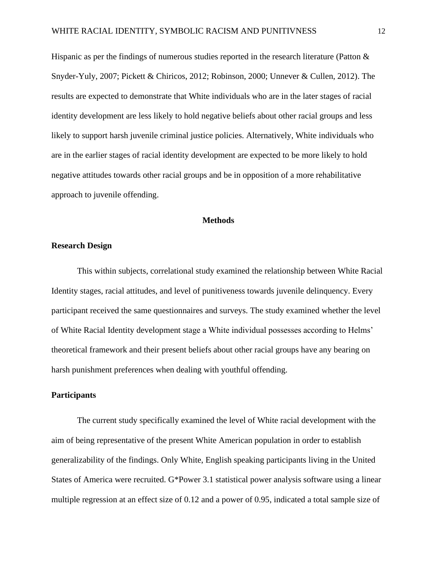Hispanic as per the findings of numerous studies reported in the research literature (Patton & Snyder-Yuly, 2007; Pickett & Chiricos, 2012; Robinson, 2000; Unnever & Cullen, 2012). The results are expected to demonstrate that White individuals who are in the later stages of racial identity development are less likely to hold negative beliefs about other racial groups and less likely to support harsh juvenile criminal justice policies. Alternatively, White individuals who are in the earlier stages of racial identity development are expected to be more likely to hold negative attitudes towards other racial groups and be in opposition of a more rehabilitative approach to juvenile offending.

## **Methods**

#### **Research Design**

This within subjects, correlational study examined the relationship between White Racial Identity stages, racial attitudes, and level of punitiveness towards juvenile delinquency. Every participant received the same questionnaires and surveys. The study examined whether the level of White Racial Identity development stage a White individual possesses according to Helms' theoretical framework and their present beliefs about other racial groups have any bearing on harsh punishment preferences when dealing with youthful offending.

#### **Participants**

The current study specifically examined the level of White racial development with the aim of being representative of the present White American population in order to establish generalizability of the findings. Only White, English speaking participants living in the United States of America were recruited. G\*Power 3.1 statistical power analysis software using a linear multiple regression at an effect size of 0.12 and a power of 0.95, indicated a total sample size of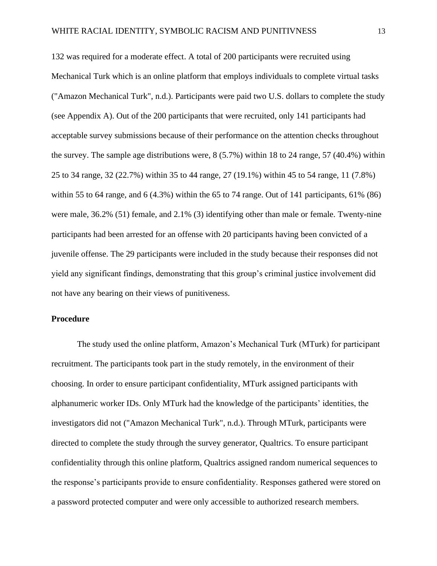132 was required for a moderate effect. A total of 200 participants were recruited using Mechanical Turk which is an online platform that employs individuals to complete virtual tasks ("Amazon Mechanical Turk", n.d.). Participants were paid two U.S. dollars to complete the study (see Appendix A). Out of the 200 participants that were recruited, only 141 participants had acceptable survey submissions because of their performance on the attention checks throughout the survey. The sample age distributions were, 8 (5.7%) within 18 to 24 range, 57 (40.4%) within 25 to 34 range, 32 (22.7%) within 35 to 44 range, 27 (19.1%) within 45 to 54 range, 11 (7.8%) within 55 to 64 range, and 6 (4.3%) within the 65 to 74 range. Out of 141 participants,  $61\%$  (86) were male, 36.2% (51) female, and 2.1% (3) identifying other than male or female. Twenty-nine participants had been arrested for an offense with 20 participants having been convicted of a juvenile offense. The 29 participants were included in the study because their responses did not yield any significant findings, demonstrating that this group's criminal justice involvement did not have any bearing on their views of punitiveness.

#### **Procedure**

The study used the online platform, Amazon's Mechanical Turk (MTurk) for participant recruitment. The participants took part in the study remotely, in the environment of their choosing. In order to ensure participant confidentiality, MTurk assigned participants with alphanumeric worker IDs. Only MTurk had the knowledge of the participants' identities, the investigators did not ("Amazon Mechanical Turk", n.d.). Through MTurk, participants were directed to complete the study through the survey generator, Qualtrics. To ensure participant confidentiality through this online platform, Qualtrics assigned random numerical sequences to the response's participants provide to ensure confidentiality. Responses gathered were stored on a password protected computer and were only accessible to authorized research members.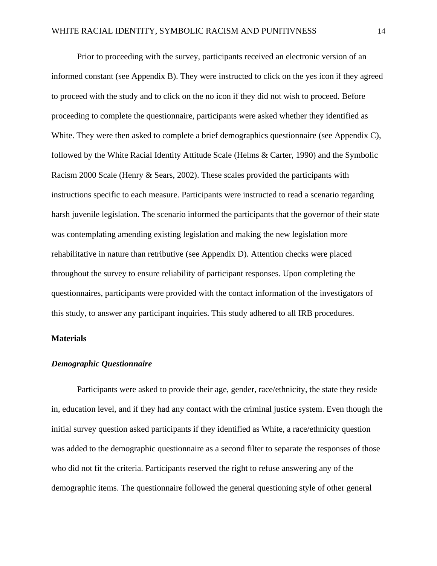Prior to proceeding with the survey, participants received an electronic version of an informed constant (see Appendix B). They were instructed to click on the yes icon if they agreed to proceed with the study and to click on the no icon if they did not wish to proceed. Before proceeding to complete the questionnaire, participants were asked whether they identified as White. They were then asked to complete a brief demographics questionnaire (see Appendix C), followed by the White Racial Identity Attitude Scale (Helms & Carter, 1990) and the Symbolic Racism 2000 Scale (Henry & Sears, 2002). These scales provided the participants with instructions specific to each measure. Participants were instructed to read a scenario regarding harsh juvenile legislation. The scenario informed the participants that the governor of their state was contemplating amending existing legislation and making the new legislation more rehabilitative in nature than retributive (see Appendix D). Attention checks were placed throughout the survey to ensure reliability of participant responses. Upon completing the questionnaires, participants were provided with the contact information of the investigators of this study, to answer any participant inquiries. This study adhered to all IRB procedures.

#### **Materials**

## *Demographic Questionnaire*

Participants were asked to provide their age, gender, race/ethnicity, the state they reside in, education level, and if they had any contact with the criminal justice system. Even though the initial survey question asked participants if they identified as White, a race/ethnicity question was added to the demographic questionnaire as a second filter to separate the responses of those who did not fit the criteria. Participants reserved the right to refuse answering any of the demographic items. The questionnaire followed the general questioning style of other general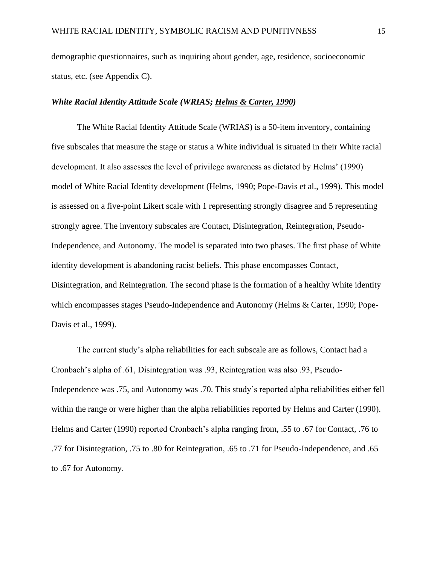demographic questionnaires, such as inquiring about gender, age, residence, socioeconomic status, etc. (see Appendix C).

#### *White Racial Identity Attitude Scale (WRIAS; Helms & Carter, 1990)*

The White Racial Identity Attitude Scale (WRIAS) is a 50-item inventory, containing five subscales that measure the stage or status a White individual is situated in their White racial development. It also assesses the level of privilege awareness as dictated by Helms' (1990) model of White Racial Identity development (Helms, 1990; Pope-Davis et al., 1999). This model is assessed on a five-point Likert scale with 1 representing strongly disagree and 5 representing strongly agree. The inventory subscales are Contact, Disintegration, Reintegration, Pseudo-Independence, and Autonomy. The model is separated into two phases. The first phase of White identity development is abandoning racist beliefs. This phase encompasses Contact, Disintegration, and Reintegration. The second phase is the formation of a healthy White identity which encompasses stages Pseudo-Independence and Autonomy (Helms & Carter, 1990; Pope-Davis et al., 1999).

The current study's alpha reliabilities for each subscale are as follows, Contact had a Cronbach's alpha of .61, Disintegration was .93, Reintegration was also .93, Pseudo-Independence was .75, and Autonomy was .70. This study's reported alpha reliabilities either fell within the range or were higher than the alpha reliabilities reported by Helms and Carter (1990). Helms and Carter (1990) reported Cronbach's alpha ranging from, .55 to .67 for Contact, .76 to .77 for Disintegration, .75 to .80 for Reintegration, .65 to .71 for Pseudo-Independence, and .65 to .67 for Autonomy.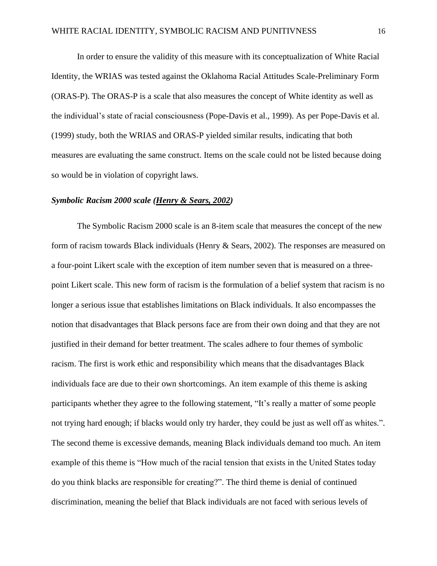In order to ensure the validity of this measure with its conceptualization of White Racial Identity, the WRIAS was tested against the Oklahoma Racial Attitudes Scale-Preliminary Form (ORAS-P). The ORAS-P is a scale that also measures the concept of White identity as well as the individual's state of racial consciousness (Pope-Davis et al., 1999). As per Pope-Davis et al. (1999) study, both the WRIAS and ORAS-P yielded similar results, indicating that both measures are evaluating the same construct. Items on the scale could not be listed because doing so would be in violation of copyright laws.

#### *Symbolic Racism 2000 scale (Henry & Sears, 2002)*

The Symbolic Racism 2000 scale is an 8-item scale that measures the concept of the new form of racism towards Black individuals (Henry & Sears, 2002). The responses are measured on a four-point Likert scale with the exception of item number seven that is measured on a threepoint Likert scale. This new form of racism is the formulation of a belief system that racism is no longer a serious issue that establishes limitations on Black individuals. It also encompasses the notion that disadvantages that Black persons face are from their own doing and that they are not justified in their demand for better treatment. The scales adhere to four themes of symbolic racism. The first is work ethic and responsibility which means that the disadvantages Black individuals face are due to their own shortcomings. An item example of this theme is asking participants whether they agree to the following statement, "It's really a matter of some people not trying hard enough; if blacks would only try harder, they could be just as well off as whites.". The second theme is excessive demands, meaning Black individuals demand too much. An item example of this theme is "How much of the racial tension that exists in the United States today do you think blacks are responsible for creating?". The third theme is denial of continued discrimination, meaning the belief that Black individuals are not faced with serious levels of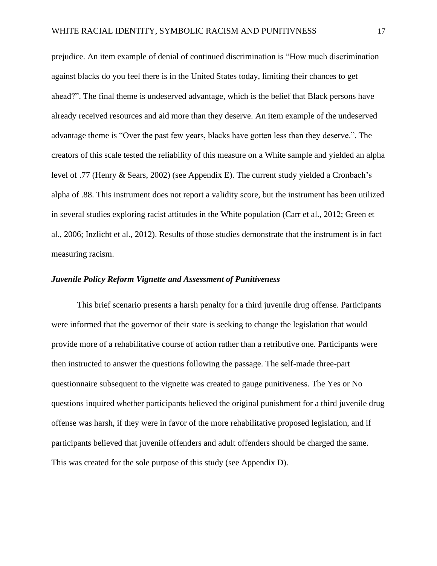prejudice. An item example of denial of continued discrimination is "How much discrimination against blacks do you feel there is in the United States today, limiting their chances to get ahead?". The final theme is undeserved advantage, which is the belief that Black persons have already received resources and aid more than they deserve. An item example of the undeserved advantage theme is "Over the past few years, blacks have gotten less than they deserve.". The creators of this scale tested the reliability of this measure on a White sample and yielded an alpha level of .77 (Henry & Sears, 2002) (see Appendix E). The current study yielded a Cronbach's alpha of .88. This instrument does not report a validity score, but the instrument has been utilized in several studies exploring racist attitudes in the White population (Carr et al., 2012; Green et al., 2006; Inzlicht et al., 2012). Results of those studies demonstrate that the instrument is in fact measuring racism.

## *Juvenile Policy Reform Vignette and Assessment of Punitiveness*

This brief scenario presents a harsh penalty for a third juvenile drug offense. Participants were informed that the governor of their state is seeking to change the legislation that would provide more of a rehabilitative course of action rather than a retributive one. Participants were then instructed to answer the questions following the passage. The self-made three-part questionnaire subsequent to the vignette was created to gauge punitiveness. The Yes or No questions inquired whether participants believed the original punishment for a third juvenile drug offense was harsh, if they were in favor of the more rehabilitative proposed legislation, and if participants believed that juvenile offenders and adult offenders should be charged the same. This was created for the sole purpose of this study (see Appendix D).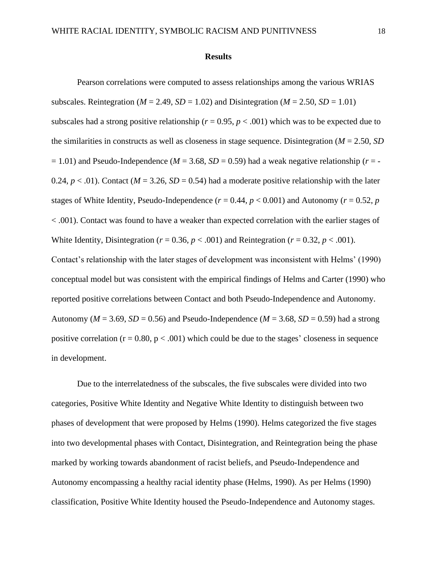#### **Results**

Pearson correlations were computed to assess relationships among the various WRIAS subscales. Reintegration ( $M = 2.49$ ,  $SD = 1.02$ ) and Disintegration ( $M = 2.50$ ,  $SD = 1.01$ ) subscales had a strong positive relationship ( $r = 0.95$ ,  $p < .001$ ) which was to be expected due to the similarities in constructs as well as closeness in stage sequence. Disintegration (*M* = 2.50, *SD*  $= 1.01$ ) and Pseudo-Independence ( $M = 3.68$ ,  $SD = 0.59$ ) had a weak negative relationship ( $r = -$ 0.24,  $p < .01$ ). Contact ( $M = 3.26$ ,  $SD = 0.54$ ) had a moderate positive relationship with the later stages of White Identity, Pseudo-Independence ( $r = 0.44$ ,  $p < 0.001$ ) and Autonomy ( $r = 0.52$ ,  $p$ ) < .001). Contact was found to have a weaker than expected correlation with the earlier stages of White Identity, Disintegration ( $r = 0.36$ ,  $p < .001$ ) and Reintegration ( $r = 0.32$ ,  $p < .001$ ). Contact's relationship with the later stages of development was inconsistent with Helms' (1990) conceptual model but was consistent with the empirical findings of Helms and Carter (1990) who reported positive correlations between Contact and both Pseudo-Independence and Autonomy. Autonomy ( $M = 3.69$ ,  $SD = 0.56$ ) and Pseudo-Independence ( $M = 3.68$ ,  $SD = 0.59$ ) had a strong positive correlation  $(r = 0.80, p < .001)$  which could be due to the stages' closeness in sequence in development.

Due to the interrelatedness of the subscales, the five subscales were divided into two categories, Positive White Identity and Negative White Identity to distinguish between two phases of development that were proposed by Helms (1990). Helms categorized the five stages into two developmental phases with Contact, Disintegration, and Reintegration being the phase marked by working towards abandonment of racist beliefs, and Pseudo-Independence and Autonomy encompassing a healthy racial identity phase (Helms, 1990). As per Helms (1990) classification, Positive White Identity housed the Pseudo-Independence and Autonomy stages.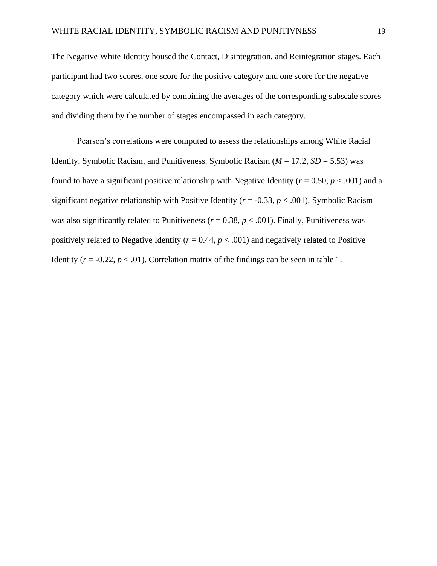The Negative White Identity housed the Contact, Disintegration, and Reintegration stages. Each participant had two scores, one score for the positive category and one score for the negative category which were calculated by combining the averages of the corresponding subscale scores and dividing them by the number of stages encompassed in each category.

Pearson's correlations were computed to assess the relationships among White Racial Identity, Symbolic Racism, and Punitiveness. Symbolic Racism (*M* = 17.2, *SD* = 5.53) was found to have a significant positive relationship with Negative Identity ( $r = 0.50$ ,  $p < .001$ ) and a significant negative relationship with Positive Identity ( $r = -0.33$ ,  $p < .001$ ). Symbolic Racism was also significantly related to Punitiveness ( $r = 0.38$ ,  $p < .001$ ). Finally, Punitiveness was positively related to Negative Identity ( $r = 0.44$ ,  $p < .001$ ) and negatively related to Positive Identity  $(r = -0.22, p < .01)$ . Correlation matrix of the findings can be seen in table 1.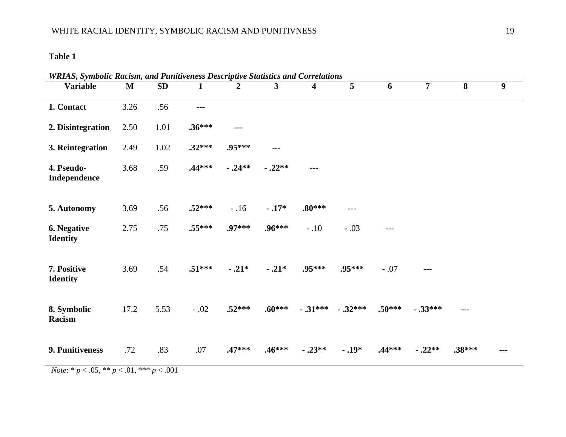# **Table 1**

| <b>Variable</b>                | $\mathbf{M}$ | <b>SD</b> | $\mathbf{1}$ | $\overline{2}$ | 3        | 4         | $5\overline{)}$ | 6        | $\overline{7}$ | 8        | 9 |
|--------------------------------|--------------|-----------|--------------|----------------|----------|-----------|-----------------|----------|----------------|----------|---|
| 1. Contact                     | 3.26         | .56       | $---$        |                |          |           |                 |          |                |          |   |
| 2. Disintegration              | 2.50         | 1.01      | $.36***$     | $---$          |          |           |                 |          |                |          |   |
| 3. Reintegration               | 2.49         | 1.02      | $.32***$     | .95***         | $---$    |           |                 |          |                |          |   |
| 4. Pseudo-<br>Independence     | 3.68         | .59       | $.44***$     | $-.24**$       | $-.22**$ | $---$     |                 |          |                |          |   |
| 5. Autonomy                    | 3.69         | .56       | $.52***$     | $-.16$         | $-.17*$  | $.80***$  | $---$           |          |                |          |   |
| 6. Negative<br><b>Identity</b> | 2.75         | .75       | $.55***$     | .97***         | $.96***$ | $-.10$    | $-.03$          | $---$    |                |          |   |
| 7. Positive<br><b>Identity</b> | 3.69         | .54       | $.51***$     | $-.21*$        | $-.21*$  | .95***    | .95***          | $-.07$   |                |          |   |
| 8. Symbolic<br>Racism          | 17.2         | 5.53      | $-.02$       | $.52***$       | $.60***$ | $-.31***$ | $-.32***$       | $.50***$ | $-.33***$      | $---$    |   |
| 9. Punitiveness                | .72          | .83       | .07          | $.47***$       | $.46***$ | $-.23**$  | $-.19*$         | $.44***$ | $-.22**$       | $.38***$ |   |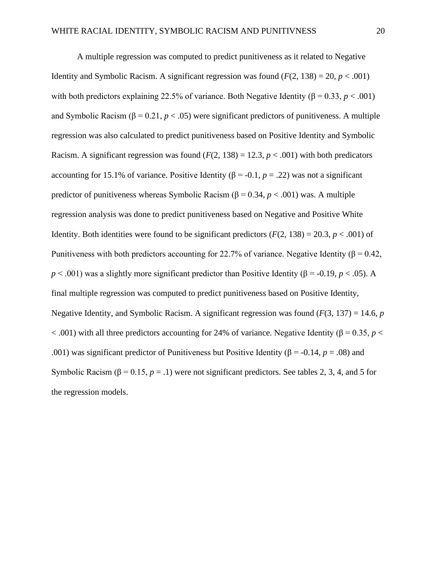A multiple regression was computed to predict punitiveness as it related to Negative Identity and Symbolic Racism. A significant regression was found  $(F(2, 138) = 20, p < .001)$ with both predictors explaining 22.5% of variance. Both Negative Identity ( $\beta = 0.33$ ,  $p < .001$ ) and Symbolic Racism ( $\beta$  = 0.21, *p* < .05) were significant predictors of punitiveness. A multiple regression was also calculated to predict punitiveness based on Positive Identity and Symbolic Racism. A significant regression was found  $(F(2, 138) = 12.3, p < .001)$  with both predicators accounting for 15.1% of variance. Positive Identity ( $β = 0.1, p = .22$ ) was not a significant predictor of punitiveness whereas Symbolic Racism ( $β = 0.34, p < .001$ ) was. A multiple regression analysis was done to predict punitiveness based on Negative and Positive White Identity. Both identities were found to be significant predictors  $(F(2, 138) = 20.3, p < .001)$  of Punitiveness with both predictors accounting for 22.7% of variance. Negative Identity ( $\beta$  = 0.42,  $p < .001$ ) was a slightly more significant predictor than Positive Identity ( $\beta$  = -0.19, *p* < .05). A final multiple regression was computed to predict punitiveness based on Positive Identity, Negative Identity, and Symbolic Racism. A significant regression was found (*F*(3, 137) = 14.6, *p* < .001) with all three predictors accounting for 24% of variance. Negative Identity (β = 0.35, *p* < .001) was significant predictor of Punitiveness but Positive Identity ( $\beta$  = -0.14, *p* = .08) and Symbolic Racism ( $\beta$  = 0.15, *p* = .1) were not significant predictors. See tables 2, 3, 4, and 5 for the regression models.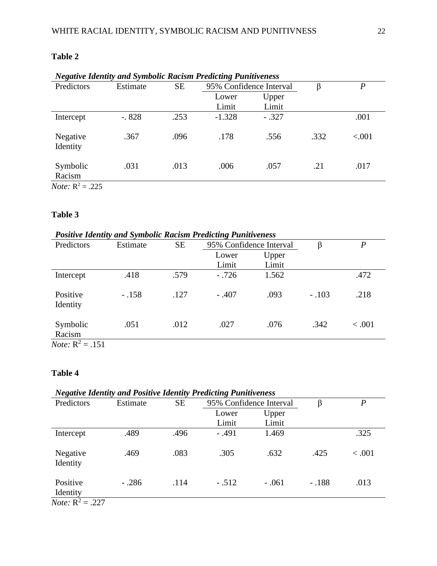| <b>Negative Identity and Symbolic Racism Predicting Punitiveness</b>   |          |           |          |                         |      |        |
|------------------------------------------------------------------------|----------|-----------|----------|-------------------------|------|--------|
| Predictors                                                             | Estimate | <b>SE</b> |          | 95% Confidence Interval | β    | P      |
|                                                                        |          |           | Lower    | Upper                   |      |        |
|                                                                        |          |           | Limit    | Limit                   |      |        |
| Intercept                                                              | $-.828$  | .253      | $-1.328$ | $-.327$                 |      | .001   |
| Negative<br>Identity                                                   | .367     | .096      | .178     | .556                    | .332 | < .001 |
| Symbolic<br>Racism                                                     | .031     | .013      | .006     | .057                    | .21  | .017   |
| $\mathbf{M}$ <sub>r</sub> $\mathbf{D}$ <sup>2</sup><br>$\Delta \Gamma$ |          |           |          |                         |      |        |

# **Table 2**

*Note*:  $R^2 = .225$ 

## **Table 3**

#### *Positive Identity and Symbolic Racism Predicting Punitiveness* Predictors Estimate SE 95% Confidence Interval β *P* Lower Limit Upper Limit 1.562 **Intercept** .418 .579 - .726 1.562 Positive Identity - .158 .127 - .407 .093 - .103 .218 Symbolic Racism .051 .012 .027 .076 .342 < .001

*Note:*  $R^2 = .151$ 

## **Table 4**

# *Negative Identity and Positive Identity Predicting Punitiveness*

| Predictors                | Estimate | <b>SE</b> | 95% Confidence Interval |         | β       | $\boldsymbol{P}$ |
|---------------------------|----------|-----------|-------------------------|---------|---------|------------------|
|                           |          |           | Lower                   | Upper   |         |                  |
|                           |          |           | Limit                   | Limit   |         |                  |
| Intercept                 | .489     | .496      | $-.491$                 | 1.469   |         | .325             |
| Negative<br>Identity      | .469     | .083      | .305                    | .632    | .425    | < .001           |
| Positive<br>Identity      | $-.286$  | .114      | $-.512$                 | $-.061$ | $-.188$ | .013             |
| <i>Note:</i> $R^2 = .227$ |          |           |                         |         |         |                  |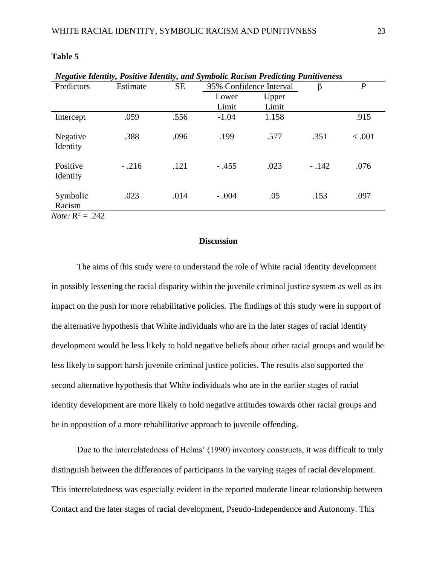| <b>Negative Identity, Positive Identity, and Symbolic Racism Predicting Punitiveness</b> |          |           |                         |       |         |                |
|------------------------------------------------------------------------------------------|----------|-----------|-------------------------|-------|---------|----------------|
| Predictors                                                                               | Estimate | <b>SE</b> | 95% Confidence Interval |       | β       | $\overline{P}$ |
|                                                                                          |          |           | Lower                   | Upper |         |                |
|                                                                                          |          |           | Limit                   | Limit |         |                |
| Intercept                                                                                | .059     | .556      | $-1.04$                 | 1.158 |         | .915           |
| Negative<br>Identity                                                                     | .388     | .096      | .199                    | .577  | .351    | < .001         |
| Positive<br>Identity                                                                     | $-.216$  | .121      | $-.455$                 | .023  | $-.142$ | .076           |
| Symbolic<br>Racism                                                                       | .023     | .014      | $-.004$                 | .05   | .153    | .097           |
| <i>Note:</i> $R^2 = .242$                                                                |          |           |                         |       |         |                |

#### **Table 5**

## **Discussion**

The aims of this study were to understand the role of White racial identity development in possibly lessening the racial disparity within the juvenile criminal justice system as well as its impact on the push for more rehabilitative policies. The findings of this study were in support of the alternative hypothesis that White individuals who are in the later stages of racial identity development would be less likely to hold negative beliefs about other racial groups and would be less likely to support harsh juvenile criminal justice policies. The results also supported the second alternative hypothesis that White individuals who are in the earlier stages of racial identity development are more likely to hold negative attitudes towards other racial groups and be in opposition of a more rehabilitative approach to juvenile offending.

Due to the interrelatedness of Helms' (1990) inventory constructs, it was difficult to truly distinguish between the differences of participants in the varying stages of racial development. This interrelatedness was especially evident in the reported moderate linear relationship between Contact and the later stages of racial development, Pseudo-Independence and Autonomy. This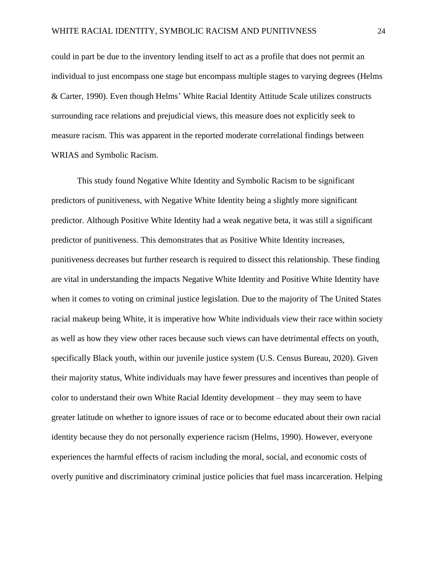could in part be due to the inventory lending itself to act as a profile that does not permit an individual to just encompass one stage but encompass multiple stages to varying degrees (Helms & Carter, 1990). Even though Helms' White Racial Identity Attitude Scale utilizes constructs surrounding race relations and prejudicial views, this measure does not explicitly seek to measure racism. This was apparent in the reported moderate correlational findings between WRIAS and Symbolic Racism.

This study found Negative White Identity and Symbolic Racism to be significant predictors of punitiveness, with Negative White Identity being a slightly more significant predictor. Although Positive White Identity had a weak negative beta, it was still a significant predictor of punitiveness. This demonstrates that as Positive White Identity increases, punitiveness decreases but further research is required to dissect this relationship. These finding are vital in understanding the impacts Negative White Identity and Positive White Identity have when it comes to voting on criminal justice legislation. Due to the majority of The United States racial makeup being White, it is imperative how White individuals view their race within society as well as how they view other races because such views can have detrimental effects on youth, specifically Black youth, within our juvenile justice system (U.S. Census Bureau, 2020). Given their majority status, White individuals may have fewer pressures and incentives than people of color to understand their own White Racial Identity development – they may seem to have greater latitude on whether to ignore issues of race or to become educated about their own racial identity because they do not personally experience racism (Helms, 1990). However, everyone experiences the harmful effects of racism including the moral, social, and economic costs of overly punitive and discriminatory criminal justice policies that fuel mass incarceration. Helping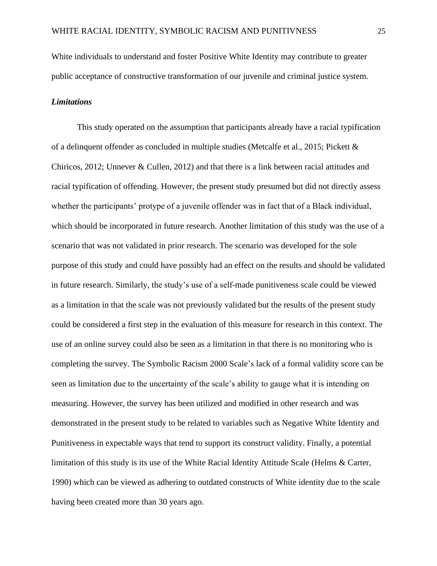White individuals to understand and foster Positive White Identity may contribute to greater public acceptance of constructive transformation of our juvenile and criminal justice system.

#### *Limitations*

This study operated on the assumption that participants already have a racial typification of a delinquent offender as concluded in multiple studies (Metcalfe et al., 2015; Pickett & Chiricos, 2012; Unnever & Cullen, 2012) and that there is a link between racial attitudes and racial typification of offending. However, the present study presumed but did not directly assess whether the participants' protype of a juvenile offender was in fact that of a Black individual, which should be incorporated in future research. Another limitation of this study was the use of a scenario that was not validated in prior research. The scenario was developed for the sole purpose of this study and could have possibly had an effect on the results and should be validated in future research. Similarly, the study's use of a self-made punitiveness scale could be viewed as a limitation in that the scale was not previously validated but the results of the present study could be considered a first step in the evaluation of this measure for research in this context. The use of an online survey could also be seen as a limitation in that there is no monitoring who is completing the survey. The Symbolic Racism 2000 Scale's lack of a formal validity score can be seen as limitation due to the uncertainty of the scale's ability to gauge what it is intending on measuring. However, the survey has been utilized and modified in other research and was demonstrated in the present study to be related to variables such as Negative White Identity and Punitiveness in expectable ways that tend to support its construct validity. Finally, a potential limitation of this study is its use of the White Racial Identity Attitude Scale (Helms & Carter, 1990) which can be viewed as adhering to outdated constructs of White identity due to the scale having been created more than 30 years ago.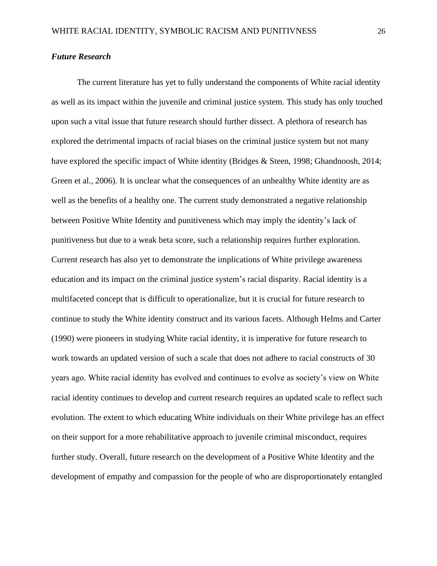#### *Future Research*

The current literature has yet to fully understand the components of White racial identity as well as its impact within the juvenile and criminal justice system. This study has only touched upon such a vital issue that future research should further dissect. A plethora of research has explored the detrimental impacts of racial biases on the criminal justice system but not many have explored the specific impact of White identity (Bridges & Steen, 1998; Ghandnoosh, 2014; Green et al., 2006). It is unclear what the consequences of an unhealthy White identity are as well as the benefits of a healthy one. The current study demonstrated a negative relationship between Positive White Identity and punitiveness which may imply the identity's lack of punitiveness but due to a weak beta score, such a relationship requires further exploration. Current research has also yet to demonstrate the implications of White privilege awareness education and its impact on the criminal justice system's racial disparity. Racial identity is a multifaceted concept that is difficult to operationalize, but it is crucial for future research to continue to study the White identity construct and its various facets. Although Helms and Carter (1990) were pioneers in studying White racial identity, it is imperative for future research to work towards an updated version of such a scale that does not adhere to racial constructs of 30 years ago. White racial identity has evolved and continues to evolve as society's view on White racial identity continues to develop and current research requires an updated scale to reflect such evolution. The extent to which educating White individuals on their White privilege has an effect on their support for a more rehabilitative approach to juvenile criminal misconduct, requires further study. Overall, future research on the development of a Positive White Identity and the development of empathy and compassion for the people of who are disproportionately entangled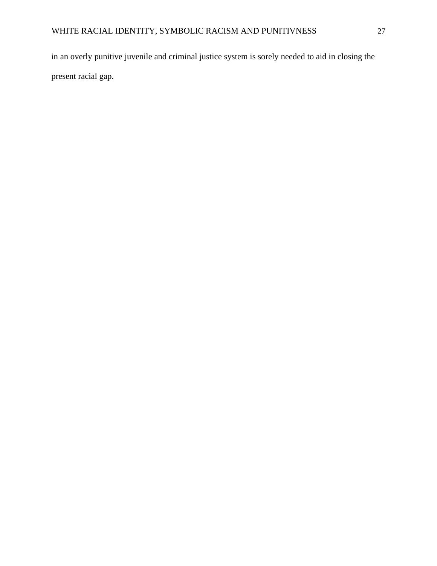in an overly punitive juvenile and criminal justice system is sorely needed to aid in closing the present racial gap.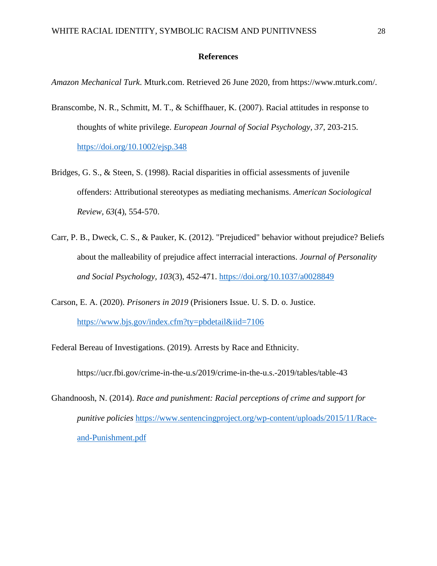#### **References**

*Amazon Mechanical Turk*. Mturk.com. Retrieved 26 June 2020, from https://www.mturk.com/.

- Branscombe, N. R., Schmitt, M. T., & Schiffhauer, K. (2007). Racial attitudes in response to thoughts of white privilege. *European Journal of Social Psychology, 37*, 203-215. <https://doi.org/10.1002/ejsp.348>
- Bridges, G. S., & Steen, S. (1998). Racial disparities in official assessments of juvenile offenders: Attributional stereotypes as mediating mechanisms. *American Sociological Review, 63*(4), 554-570.
- Carr, P. B., Dweck, C. S., & Pauker, K. (2012). "Prejudiced" behavior without prejudice? Beliefs about the malleability of prejudice affect interracial interactions. *Journal of Personality and Social Psychology, 103*(3), 452-471.<https://doi.org/10.1037/a0028849>
- Carson, E. A. (2020). *Prisoners in 2019* (Prisioners Issue. U. S. D. o. Justice. <https://www.bjs.gov/index.cfm?ty=pbdetail&iid=7106>

Federal Bereau of Investigations. (2019). Arrests by Race and Ethnicity.

https://ucr.fbi.gov/crime-in-the-u.s/2019/crime-in-the-u.s.-2019/tables/table-43

Ghandnoosh, N. (2014). *Race and punishment: Racial perceptions of crime and support for punitive policies* [https://www.sentencingproject.org/wp-content/uploads/2015/11/Race](https://www.sentencingproject.org/wp-content/uploads/2015/11/Race-and-Punishment.pdf)[and-Punishment.pdf](https://www.sentencingproject.org/wp-content/uploads/2015/11/Race-and-Punishment.pdf)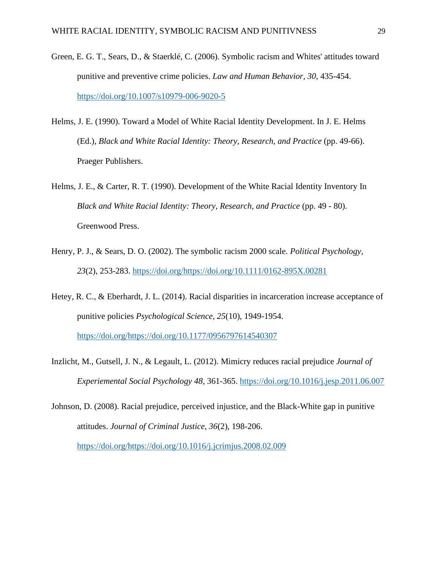- Green, E. G. T., Sears, D., & Staerklé, C. (2006). Symbolic racism and Whites' attitudes toward punitive and preventive crime policies. *Law and Human Behavior, 30*, 435-454. <https://doi.org/10.1007/s10979-006-9020-5>
- Helms, J. E. (1990). Toward a Model of White Racial Identity Development. In J. E. Helms (Ed.), *Black and White Racial Identity: Theory, Research, and Practice* (pp. 49-66). Praeger Publishers.
- Helms, J. E., & Carter, R. T. (1990). Development of the White Racial Identity Inventory In *Black and White Racial Identity: Theory, Research, and Practice* (pp. 49 - 80). Greenwood Press.
- Henry, P. J., & Sears, D. O. (2002). The symbolic racism 2000 scale. *Political Psychology, 23*(2), 253-283. [https://doi.org/https://doi.org/10.1111/0162-895X.00281](https://doi.org/https:/doi.org/10.1111/0162-895X.00281)
- Hetey, R. C., & Eberhardt, J. L. (2014). Racial disparities in incarceration increase acceptance of punitive policies *Psychological Science, 25*(10), 1949-1954. [https://doi.org/https://doi.org/10.1177/0956797614540307](https://doi.org/https:/doi.org/10.1177/0956797614540307)
- Inzlicht, M., Gutsell, J. N., & Legault, L. (2012). Mimicry reduces racial prejudice *Journal of Experiemental Social Psychology 48*, 361-365.<https://doi.org/10.1016/j.jesp.2011.06.007>
- Johnson, D. (2008). Racial prejudice, perceived injustice, and the Black-White gap in punitive attitudes. *Journal of Criminal Justice, 36*(2), 198-206. [https://doi.org/https://doi.org/10.1016/j.jcrimjus.2008.02.009](https://doi.org/https:/doi.org/10.1016/j.jcrimjus.2008.02.009)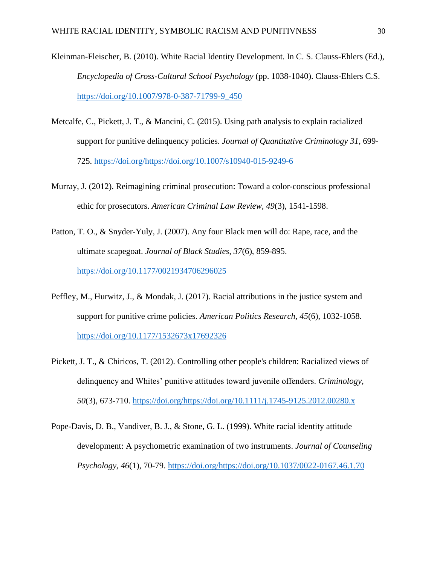- Kleinman-Fleischer, B. (2010). White Racial Identity Development. In C. S. Clauss-Ehlers (Ed.), *Encyclopedia of Cross-Cultural School Psychology* (pp. 1038-1040). Clauss-Ehlers C.S. [https://doi.org/10.1007/978-0-387-71799-9\\_450](https://doi.org/10.1007/978-0-387-71799-9_450)
- Metcalfe, C., Pickett, J. T., & Mancini, C. (2015). Using path analysis to explain racialized support for punitive delinquency policies. *Journal of Quantitative Criminology 31*, 699- 725. [https://doi.org/https://doi.org/10.1007/s10940-015-9249-6](https://doi.org/https:/doi.org/10.1007/s10940-015-9249-6)
- Murray, J. (2012). Reimagining criminal prosecution: Toward a color-conscious professional ethic for prosecutors. *American Criminal Law Review, 49*(3), 1541-1598.
- Patton, T. O., & Snyder-Yuly, J. (2007). Any four Black men will do: Rape, race, and the ultimate scapegoat. *Journal of Black Studies, 37*(6), 859-895. <https://doi.org/10.1177/0021934706296025>
- Peffley, M., Hurwitz, J., & Mondak, J. (2017). Racial attributions in the justice system and support for punitive crime policies. *American Politics Research, 45*(6), 1032-1058. <https://doi.org/10.1177/1532673x17692326>
- Pickett, J. T., & Chiricos, T. (2012). Controlling other people's children: Racialized views of delinquency and Whites' punitive attitudes toward juvenile offenders. *Criminology, 50*(3), 673-710. [https://doi.org/https://doi.org/10.1111/j.1745-9125.2012.00280.x](https://doi.org/https:/doi.org/10.1111/j.1745-9125.2012.00280.x)
- Pope-Davis, D. B., Vandiver, B. J., & Stone, G. L. (1999). White racial identity attitude development: A psychometric examination of two instruments. *Journal of Counseling Psychology, 46*(1), 70-79. [https://doi.org/https://doi.org/10.1037/0022-0167.46.1.70](https://doi.org/https:/doi.org/10.1037/0022-0167.46.1.70)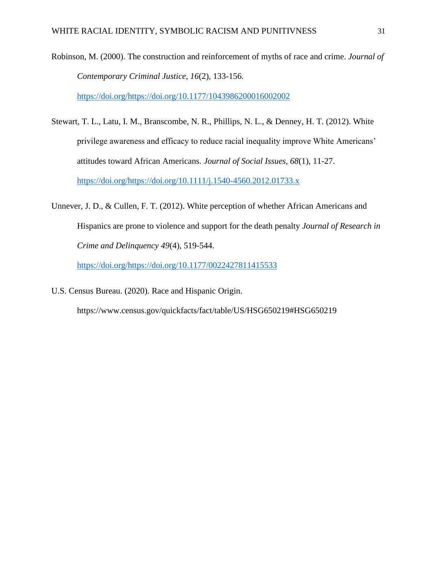Robinson, M. (2000). The construction and reinforcement of myths of race and crime. *Journal of Contemporary Criminal Justice, 16*(2), 133-156. [https://doi.org/https://doi.org/10.1177/1043986200016002002](https://doi.org/https:/doi.org/10.1177/1043986200016002002)

Stewart, T. L., Latu, I. M., Branscombe, N. R., Phillips, N. L., & Denney, H. T. (2012). White privilege awareness and efficacy to reduce racial inequality improve White Americans' attitudes toward African Americans. *Journal of Social Issues, 68*(1), 11-27. [https://doi.org/https://doi.org/10.1111/j.1540-4560.2012.01733.x](https://doi.org/https:/doi.org/10.1111/j.1540-4560.2012.01733.x)

Unnever, J. D., & Cullen, F. T. (2012). White perception of whether African Americans and Hispanics are prone to violence and support for the death penalty *Journal of Research in Crime and Delinquency 49*(4), 519-544.

[https://doi.org/https://doi.org/10.1177/0022427811415533](https://doi.org/https:/doi.org/10.1177/0022427811415533)

U.S. Census Bureau. (2020). Race and Hispanic Origin.

<https://www.census.gov/quickfacts/fact/table/US/HSG650219#HSG650219>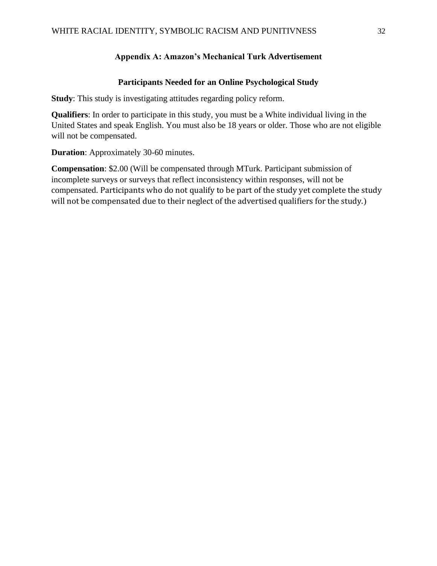## **Appendix A: Amazon's Mechanical Turk Advertisement**

#### **Participants Needed for an Online Psychological Study**

**Study**: This study is investigating attitudes regarding policy reform.

**Qualifiers**: In order to participate in this study, you must be a White individual living in the United States and speak English. You must also be 18 years or older. Those who are not eligible will not be compensated.

**Duration**: Approximately 30-60 minutes.

**Compensation**: \$2.00 (Will be compensated through MTurk. Participant submission of incomplete surveys or surveys that reflect inconsistency within responses, will not be compensated. Participants who do not qualify to be part of the study yet complete the study will not be compensated due to their neglect of the advertised qualifiers for the study.)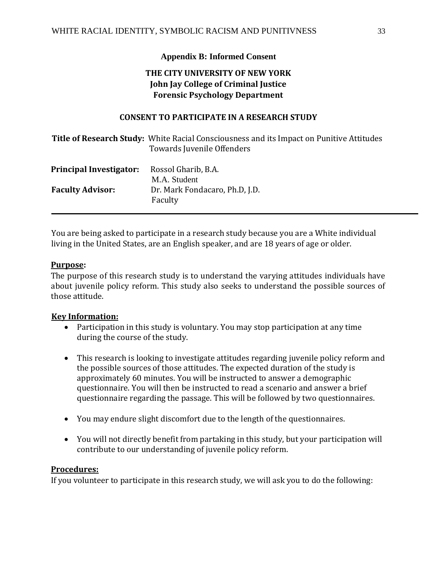# **Appendix B: Informed Consent**

# **THE CITY UNIVERSITY OF NEW YORK John Jay College of Criminal Justice Forensic Psychology Department**

# **CONSENT TO PARTICIPATE IN A RESEARCH STUDY**

|                         | Title of Research Study: White Racial Consciousness and its Impact on Punitive Attitudes<br>Towards Juvenile Offenders |
|-------------------------|------------------------------------------------------------------------------------------------------------------------|
| Principal Investigator: | Rossol Gharib, B.A.<br>M.A. Student                                                                                    |
| <b>Faculty Advisor:</b> | Dr. Mark Fondacaro, Ph.D. J.D.<br>Faculty                                                                              |

You are being asked to participate in a research study because you are a White individual living in the United States, are an English speaker, and are 18 years of age or older.

## **Purpose:**

The purpose of this research study is to understand the varying attitudes individuals have about juvenile policy reform. This study also seeks to understand the possible sources of those attitude.

## **Key Information:**

- Participation in this study is voluntary. You may stop participation at any time during the course of the study.
- This research is looking to investigate attitudes regarding juvenile policy reform and the possible sources of those attitudes. The expected duration of the study is approximately 60 minutes. You will be instructed to answer a demographic questionnaire. You will then be instructed to read a scenario and answer a brief questionnaire regarding the passage. This will be followed by two questionnaires.
- You may endure slight discomfort due to the length of the questionnaires.
- You will not directly benefit from partaking in this study, but your participation will contribute to our understanding of juvenile policy reform.

### **Procedures:**

If you volunteer to participate in this research study, we will ask you to do the following: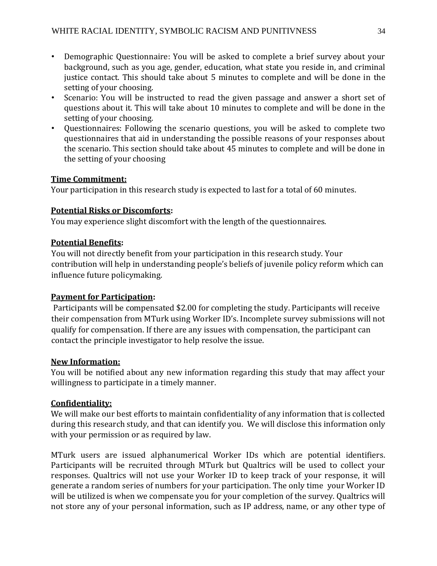- Demographic Questionnaire: You will be asked to complete a brief survey about your background, such as you age, gender, education, what state you reside in, and criminal justice contact. This should take about 5 minutes to complete and will be done in the setting of your choosing.
- Scenario: You will be instructed to read the given passage and answer a short set of questions about it. This will take about 10 minutes to complete and will be done in the setting of your choosing.
- Questionnaires: Following the scenario questions, you will be asked to complete two questionnaires that aid in understanding the possible reasons of your responses about the scenario. This section should take about 45 minutes to complete and will be done in the setting of your choosing

# **Time Commitment:**

Your participation in this research study is expected to last for a total of 60 minutes.

# **Potential Risks or Discomforts:**

You may experience slight discomfort with the length of the questionnaires.

# **Potential Benefits:**

You will not directly benefit from your participation in this research study. Your contribution will help in understanding people's beliefs of juvenile policy reform which can influence future policymaking.

# **Payment for Participation:**

Participants will be compensated \$2.00 for completing the study. Participants will receive their compensation from MTurk using Worker ID's. Incomplete survey submissions will not qualify for compensation. If there are any issues with compensation, the participant can contact the principle investigator to help resolve the issue.

# **New Information:**

You will be notified about any new information regarding this study that may affect your willingness to participate in a timely manner.

# **Confidentiality:**

We will make our best efforts to maintain confidentiality of any information that is collected during this research study, and that can identify you. We will disclose this information only with your permission or as required by law.

MTurk users are issued alphanumerical Worker IDs which are potential identifiers. Participants will be recruited through MTurk but Qualtrics will be used to collect your responses. Qualtrics will not use your Worker ID to keep track of your response, it will generate a random series of numbers for your participation. The only time your Worker ID will be utilized is when we compensate you for your completion of the survey. Qualtrics will not store any of your personal information, such as IP address, name, or any other type of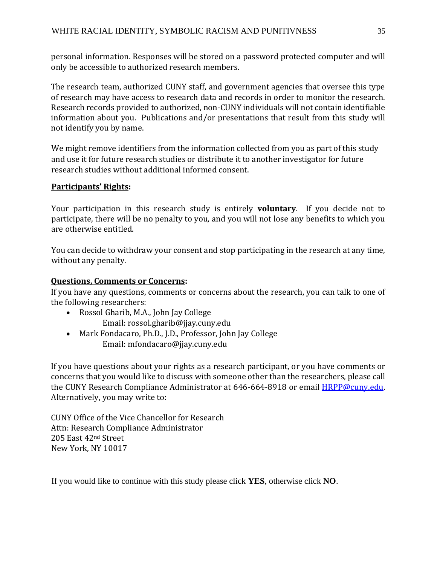personal information. Responses will be stored on a password protected computer and will only be accessible to authorized research members.

The research team, authorized CUNY staff, and government agencies that oversee this type of research may have access to research data and records in order to monitor the research. Research records provided to authorized, non-CUNY individuals will not contain identifiable information about you. Publications and/or presentations that result from this study will not identify you by name.

We might remove identifiers from the information collected from you as part of this study and use it for future research studies or distribute it to another investigator for future research studies without additional informed consent.

# **Participants' Rights:**

Your participation in this research study is entirely **voluntary**. If you decide not to participate, there will be no penalty to you, and you will not lose any benefits to which you are otherwise entitled.

You can decide to withdraw your consent and stop participating in the research at any time, without any penalty.

# **Questions, Comments or Concerns:**

If you have any questions, comments or concerns about the research, you can talk to one of the following researchers:

- Rossol Gharib, M.A., John Jay College Email: rossol.gharib@jjay.cuny.edu
- Mark Fondacaro, Ph.D., J.D., Professor, John Jay College
	- Email: mfondacaro@jjay.cuny.edu

If you have questions about your rights as a research participant, or you have comments or concerns that you would like to discuss with someone other than the researchers, please call the CUNY Research Compliance Administrator at 646-664-8918 or email HRPP@cuny.edu. Alternatively, you may write to:

CUNY Office of the Vice Chancellor for Research Attn: Research Compliance Administrator 205 East 42nd Street New York, NY 10017

If you would like to continue with this study please click **YES**, otherwise click **NO**.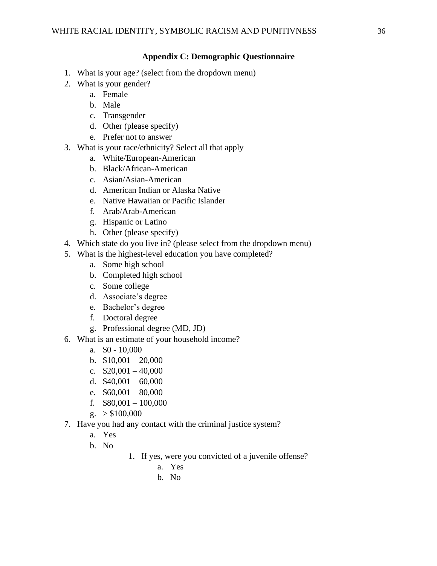## **Appendix C: Demographic Questionnaire**

- 1. What is your age? (select from the dropdown menu)
- 2. What is your gender?
	- a. Female
	- b. Male
	- c. Transgender
	- d. Other (please specify)
	- e. Prefer not to answer
- 3. What is your race/ethnicity? Select all that apply
	- a. White/European-American
	- b. Black/African-American
	- c. Asian/Asian-American
	- d. American Indian or Alaska Native
	- e. Native Hawaiian or Pacific Islander
	- f. Arab/Arab-American
	- g. Hispanic or Latino
	- h. Other (please specify)
- 4. Which state do you live in? (please select from the dropdown menu)
- 5. What is the highest-level education you have completed?
	- a. Some high school
	- b. Completed high school
	- c. Some college
	- d. Associate's degree
	- e. Bachelor's degree
	- f. Doctoral degree
	- g. Professional degree (MD, JD)
- 6. What is an estimate of your household income?
	- a. \$0 10,000
	- b.  $$10,001 20,000$
	- c.  $$20,001 40,000$
	- d.  $$40,001 60,000$
	- e.  $$60,001 80,000$
	- f.  $$80,001 100,000$
	- $g. > $100,000$
- 7. Have you had any contact with the criminal justice system?
	- a. Yes
	- b. No
- 1. If yes, were you convicted of a juvenile offense?
	- a. Yes
	- b. No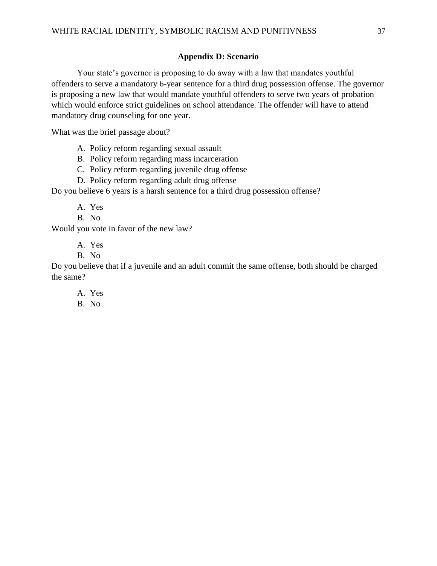## **Appendix D: Scenario**

Your state's governor is proposing to do away with a law that mandates youthful offenders to serve a mandatory 6-year sentence for a third drug possession offense. The governor is proposing a new law that would mandate youthful offenders to serve two years of probation which would enforce strict guidelines on school attendance. The offender will have to attend mandatory drug counseling for one year.

What was the brief passage about?

A. Policy reform regarding sexual assault

B. Policy reform regarding mass incarceration

C. Policy reform regarding juvenile drug offense

D. Policy reform regarding adult drug offense

Do you believe 6 years is a harsh sentence for a third drug possession offense?

A. Yes

B. No

Would you vote in favor of the new law?

A. Yes

B. No

Do you believe that if a juvenile and an adult commit the same offense, both should be charged the same?

A. Yes

B. No